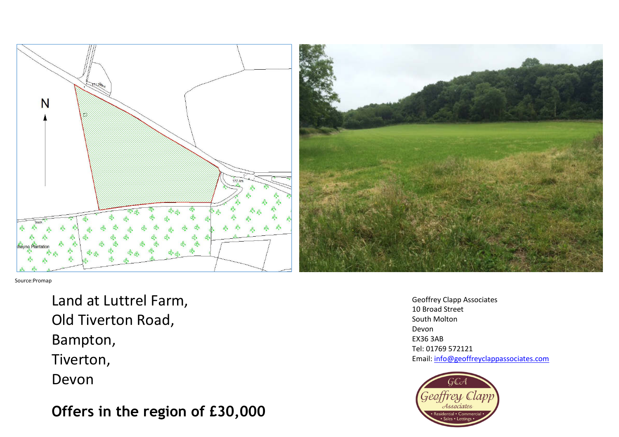

Source:Promap

Land at Luttrel Farm, Old Tiverton Road, Bampton, Tiverton, Devon

**Offers in the region of £30,000** 

Geoffrey Clapp Associates 10 Broad Street South Molton Devon EX36 3AB Tel: 01769 572121 Email: info@geoffreyclappassociates.com